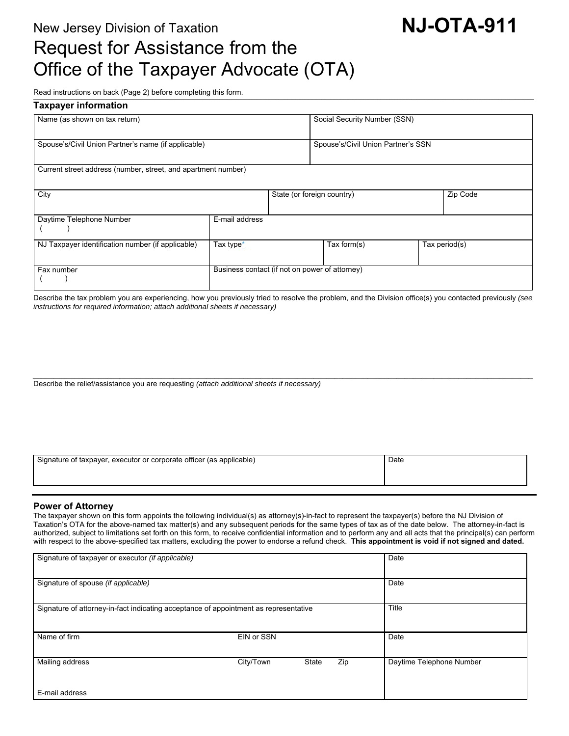# New Jersey Division of Taxation **NJ-OTA-911** Request for Assistance from the Office of the Taxpayer Advocate (OTA)

Read instructions on back (Page 2) before completing this form. \_\_\_\_\_\_\_\_\_\_\_\_\_\_\_\_\_\_\_\_\_\_\_\_\_\_\_\_\_\_\_\_\_\_\_\_\_\_\_\_\_\_\_\_\_\_\_\_\_\_\_\_\_\_\_\_\_\_\_\_\_\_\_\_\_\_\_\_\_\_\_\_\_\_\_\_\_\_\_\_\_\_\_\_\_\_\_\_\_\_\_\_\_\_\_\_\_\_\_\_\_\_\_\_\_\_\_\_\_\_\_\_\_\_\_\_\_\_\_\_\_\_\_\_\_\_\_\_\_\_\_\_\_\_\_\_\_\_\_\_\_\_\_\_\_\_\_\_\_\_\_\_\_\_\_\_\_\_\_\_\_\_\_\_\_\_\_\_\_\_\_\_\_\_\_\_\_\_\_\_\_\_\_\_\_\_\_\_\_\_\_\_\_\_\_\_\_\_\_\_\_\_\_\_\_\_\_\_\_\_\_\_\_\_\_\_\_\_\_\_\_\_\_\_\_\_\_\_\_\_\_\_\_\_\_\_\_\_\_\_\_\_\_\_\_\_\_\_\_\_\_\_\_\_\_\_\_\_\_\_\_\_\_\_\_\_\_\_\_\_\_\_\_\_\_\_\_\_\_\_\_\_\_\_\_\_\_\_\_\_\_\_\_\_\_\_\_\_\_\_\_\_\_\_\_\_\_\_\_\_\_\_\_\_\_\_\_\_\_\_\_\_\_

| <b>Taxpayer information</b>                                   |                                                |                            |                                    |  |               |  |  |
|---------------------------------------------------------------|------------------------------------------------|----------------------------|------------------------------------|--|---------------|--|--|
| Name (as shown on tax return)                                 |                                                |                            | Social Security Number (SSN)       |  |               |  |  |
| Spouse's/Civil Union Partner's name (if applicable)           |                                                |                            | Spouse's/Civil Union Partner's SSN |  |               |  |  |
| Current street address (number, street, and apartment number) |                                                |                            |                                    |  |               |  |  |
| City                                                          |                                                | State (or foreign country) |                                    |  | Zip Code      |  |  |
| Daytime Telephone Number                                      | E-mail address                                 |                            |                                    |  |               |  |  |
| NJ Taxpayer identification number (if applicable)             | Tax type*                                      |                            | Tax form $(s)$                     |  | Tax period(s) |  |  |
| Fax number                                                    | Business contact (if not on power of attorney) |                            |                                    |  |               |  |  |

Describe the tax problem you are experiencing, how you previously tried to resolve the problem, and the Division office(s) you contacted previously *(see instructions for required information; attach additional sheets if necessary)* 

*\_\_\_\_\_\_\_\_\_\_\_\_\_\_\_\_\_\_\_\_\_\_\_\_\_\_\_\_\_\_\_\_\_\_\_\_\_\_\_\_\_\_\_\_\_\_\_\_\_\_\_\_\_\_\_\_\_\_\_\_\_\_\_\_\_\_\_\_\_\_\_\_\_\_\_\_\_\_\_\_\_\_\_\_\_\_\_\_\_\_\_\_\_\_\_\_\_\_\_\_\_\_\_\_\_\_\_\_\_\_\_\_\_\_\_\_\_\_\_\_\_* Describe the relief/assistance you are requesting *(attach additional sheets if necessary)* 

| Signature of taxpayer, executor or corporate officer (as applicable) | Date |
|----------------------------------------------------------------------|------|
|                                                                      |      |
|                                                                      |      |

#### **Power of Attorney**

The taxpayer shown on this form appoints the following individual(s) as attorney(s)-in-fact to represent the taxpayer(s) before the NJ Division of Taxation's OTA for the above-named tax matter(s) and any subsequent periods for the same types of tax as of the date below. The attorney-in-fact is authorized, subject to limitations set forth on this form, to receive confidential information and to perform any and all acts that the principal(s) can perform with respect to the above-specified tax matters, excluding the power to endorse a refund check. **This appointment is void if not signed and dated.** 

| Signature of taxpayer or executor (if applicable)                                    |            |       |      | Date                     |
|--------------------------------------------------------------------------------------|------------|-------|------|--------------------------|
| Signature of spouse (if applicable)                                                  |            |       | Date |                          |
| Signature of attorney-in-fact indicating acceptance of appointment as representative |            |       |      | Title                    |
| Name of firm                                                                         | EIN or SSN |       |      | Date                     |
| Mailing address                                                                      | City/Town  | State | Zip  | Daytime Telephone Number |
| E-mail address                                                                       |            |       |      |                          |